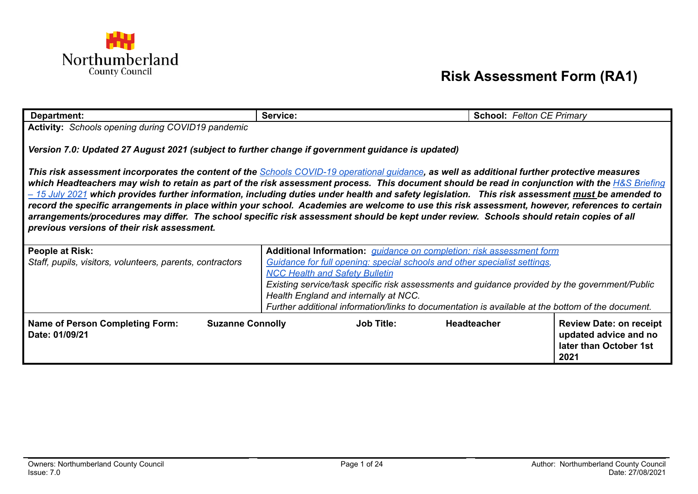

## **Risk Assessment Form (RA1)**

| Department:                                                                                                                                                                                                                                                                                                                                                                                                                                                                                                                                                                                                                                                                                                                                                                                                | Service:                                                                                                                                | <b>School: Felton CE Primary</b> |                                                                                           |  |
|------------------------------------------------------------------------------------------------------------------------------------------------------------------------------------------------------------------------------------------------------------------------------------------------------------------------------------------------------------------------------------------------------------------------------------------------------------------------------------------------------------------------------------------------------------------------------------------------------------------------------------------------------------------------------------------------------------------------------------------------------------------------------------------------------------|-----------------------------------------------------------------------------------------------------------------------------------------|----------------------------------|-------------------------------------------------------------------------------------------|--|
| Activity: Schools opening during COVID19 pandemic                                                                                                                                                                                                                                                                                                                                                                                                                                                                                                                                                                                                                                                                                                                                                          |                                                                                                                                         |                                  |                                                                                           |  |
| Version 7.0: Updated 27 August 2021 (subject to further change if government guidance is updated)                                                                                                                                                                                                                                                                                                                                                                                                                                                                                                                                                                                                                                                                                                          |                                                                                                                                         |                                  |                                                                                           |  |
| This risk assessment incorporates the content of the <b>Schools COVID-19 operational quidance</b> , as well as additional further protective measures<br>which Headteachers may wish to retain as part of the risk assessment process. This document should be read in conjunction with the H&S Briefing<br>- 15 July 2021 which provides further information, including duties under health and safety legislation. This risk assessment must be amended to<br>record the specific arrangements in place within your school. Academies are welcome to use this risk assessment, however, references to certain<br>arrangements/procedures may differ. The school specific risk assessment should be kept under review. Schools should retain copies of all<br>previous versions of their risk assessment. |                                                                                                                                         |                                  |                                                                                           |  |
|                                                                                                                                                                                                                                                                                                                                                                                                                                                                                                                                                                                                                                                                                                                                                                                                            |                                                                                                                                         |                                  |                                                                                           |  |
| <b>People at Risk:</b>                                                                                                                                                                                                                                                                                                                                                                                                                                                                                                                                                                                                                                                                                                                                                                                     | Additional Information: <i>quidance on completion: risk assessment form</i>                                                             |                                  |                                                                                           |  |
| Staff, pupils, visitors, volunteers, parents, contractors                                                                                                                                                                                                                                                                                                                                                                                                                                                                                                                                                                                                                                                                                                                                                  | Guidance for full opening: special schools and other specialist settings,                                                               |                                  |                                                                                           |  |
|                                                                                                                                                                                                                                                                                                                                                                                                                                                                                                                                                                                                                                                                                                                                                                                                            | <b>NCC Health and Safety Bulletin</b>                                                                                                   |                                  |                                                                                           |  |
|                                                                                                                                                                                                                                                                                                                                                                                                                                                                                                                                                                                                                                                                                                                                                                                                            | Existing service/task specific risk assessments and guidance provided by the government/Public<br>Health England and internally at NCC. |                                  |                                                                                           |  |
|                                                                                                                                                                                                                                                                                                                                                                                                                                                                                                                                                                                                                                                                                                                                                                                                            | Further additional information/links to documentation is available at the bottom of the document.                                       |                                  |                                                                                           |  |
| <b>Suzanne Connolly</b><br><b>Name of Person Completing Form:</b><br>Date: 01/09/21                                                                                                                                                                                                                                                                                                                                                                                                                                                                                                                                                                                                                                                                                                                        | <b>Job Title:</b>                                                                                                                       | <b>Headteacher</b>               | <b>Review Date: on receipt</b><br>updated advice and no<br>later than October 1st<br>2021 |  |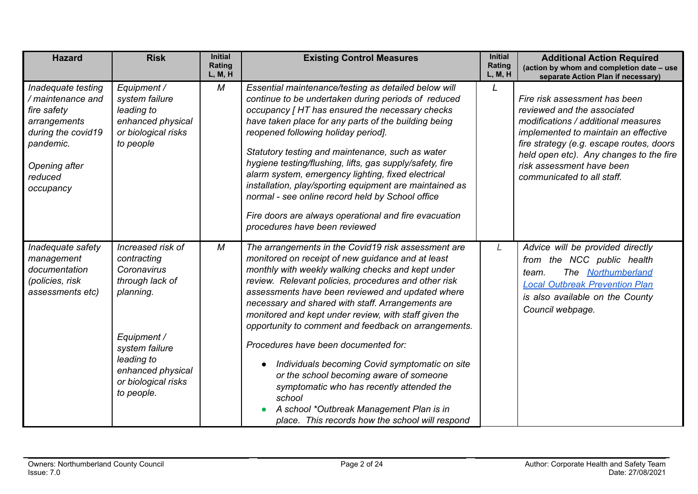| <b>Hazard</b>                                                                                                                                      | <b>Risk</b>                                                                                                                                                                              | <b>Initial</b><br>Rating<br>L, M, H | <b>Existing Control Measures</b>                                                                                                                                                                                                                                                                                                                                                                                                                                                                                                                                                                                                                                                                                                           | <b>Initial</b><br>Rating<br>L, M, H | <b>Additional Action Required</b><br>(action by whom and completion date - use<br>separate Action Plan if necessary)                                                                                                                                                                          |
|----------------------------------------------------------------------------------------------------------------------------------------------------|------------------------------------------------------------------------------------------------------------------------------------------------------------------------------------------|-------------------------------------|--------------------------------------------------------------------------------------------------------------------------------------------------------------------------------------------------------------------------------------------------------------------------------------------------------------------------------------------------------------------------------------------------------------------------------------------------------------------------------------------------------------------------------------------------------------------------------------------------------------------------------------------------------------------------------------------------------------------------------------------|-------------------------------------|-----------------------------------------------------------------------------------------------------------------------------------------------------------------------------------------------------------------------------------------------------------------------------------------------|
| Inadequate testing<br>/ maintenance and<br>fire safety<br>arrangements<br>during the covid19<br>pandemic.<br>Opening after<br>reduced<br>occupancy | Equipment /<br>system failure<br>leading to<br>enhanced physical<br>or biological risks<br>to people                                                                                     | М                                   | Essential maintenance/testing as detailed below will<br>continue to be undertaken during periods of reduced<br>occupancy [HT has ensured the necessary checks<br>have taken place for any parts of the building being<br>reopened following holiday period].<br>Statutory testing and maintenance, such as water<br>hygiene testing/flushing, lifts, gas supply/safety, fire<br>alarm system, emergency lighting, fixed electrical<br>installation, play/sporting equipment are maintained as<br>normal - see online record held by School office<br>Fire doors are always operational and fire evacuation<br>procedures have been reviewed                                                                                                | $\mathsf{L}$                        | Fire risk assessment has been<br>reviewed and the associated<br>modifications / additional measures<br>implemented to maintain an effective<br>fire strategy (e.g. escape routes, doors<br>held open etc). Any changes to the fire<br>risk assessment have been<br>communicated to all staff. |
| Inadequate safety<br>management<br>documentation<br>(policies, risk<br>assessments etc)                                                            | Increased risk of<br>contracting<br>Coronavirus<br>through lack of<br>planning.<br>Equipment /<br>system failure<br>leading to<br>enhanced physical<br>or biological risks<br>to people. | M                                   | The arrangements in the Covid19 risk assessment are<br>monitored on receipt of new guidance and at least<br>monthly with weekly walking checks and kept under<br>review. Relevant policies, procedures and other risk<br>assessments have been reviewed and updated where<br>necessary and shared with staff. Arrangements are<br>monitored and kept under review, with staff given the<br>opportunity to comment and feedback on arrangements.<br>Procedures have been documented for:<br>Individuals becoming Covid symptomatic on site<br>or the school becoming aware of someone<br>symptomatic who has recently attended the<br>school<br>A school *Outbreak Management Plan is in<br>place. This records how the school will respond | L                                   | Advice will be provided directly<br>from the NCC public health<br>The Northumberland<br>team.<br><b>Local Outbreak Prevention Plan</b><br>is also available on the County<br>Council webpage.                                                                                                 |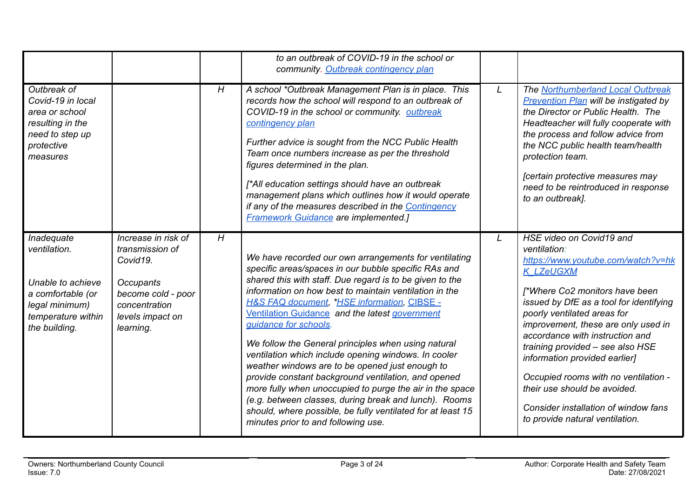| Outbreak of<br>Covid-19 in local<br>area or school<br>resulting in the<br>need to step up<br>protective<br>measures           |                                                                                                                                         | H | to an outbreak of COVID-19 in the school or<br>community. Outbreak contingency plan<br>A school *Outbreak Management Plan is in place. This<br>records how the school will respond to an outbreak of<br>COVID-19 in the school or community. outbreak<br>contingency plan<br>Further advice is sought from the NCC Public Health<br>Team once numbers increase as per the threshold<br>figures determined in the plan.<br>[*All education settings should have an outbreak<br>management plans which outlines how it would operate<br>if any of the measures described in the Contingency<br><b>Framework Guidance are implemented.]</b>                                                                                                                                                                                     | L | The Northumberland Local Outbreak<br><b>Prevention Plan will be instigated by</b><br>the Director or Public Health. The<br>Headteacher will fully cooperate with<br>the process and follow advice from<br>the NCC public health team/health<br>protection team.<br>[certain protective measures may<br>need to be reintroduced in response<br>to an outbreak].                                                                                                                                                   |
|-------------------------------------------------------------------------------------------------------------------------------|-----------------------------------------------------------------------------------------------------------------------------------------|---|------------------------------------------------------------------------------------------------------------------------------------------------------------------------------------------------------------------------------------------------------------------------------------------------------------------------------------------------------------------------------------------------------------------------------------------------------------------------------------------------------------------------------------------------------------------------------------------------------------------------------------------------------------------------------------------------------------------------------------------------------------------------------------------------------------------------------|---|------------------------------------------------------------------------------------------------------------------------------------------------------------------------------------------------------------------------------------------------------------------------------------------------------------------------------------------------------------------------------------------------------------------------------------------------------------------------------------------------------------------|
| Inadequate<br>ventilation.<br>Unable to achieve<br>a comfortable (or<br>legal minimum)<br>temperature within<br>the building. | Increase in risk of<br>transmission of<br>Covid19.<br>Occupants<br>become cold - poor<br>concentration<br>levels impact on<br>learning. | H | We have recorded our own arrangements for ventilating<br>specific areas/spaces in our bubble specific RAs and<br>shared this with staff. Due regard is to be given to the<br>information on how best to maintain ventilation in the<br><b>H&amp;S FAQ document, *HSE information, CIBSE -</b><br>Ventilation Guidance and the latest government<br>quidance for schools.<br>We follow the General principles when using natural<br>ventilation which include opening windows. In cooler<br>weather windows are to be opened just enough to<br>provide constant background ventilation, and opened<br>more fully when unoccupied to purge the air in the space<br>(e.g. between classes, during break and lunch). Rooms<br>should, where possible, be fully ventilated for at least 15<br>minutes prior to and following use. | L | HSE video on Covid19 and<br>ventilation:<br>https://www.youtube.com/watch?v=hk<br><b>K LZeUGXM</b><br>[*Where Co2 monitors have been<br>issued by DfE as a tool for identifying<br>poorly ventilated areas for<br>improvement, these are only used in<br>accordance with instruction and<br>training provided - see also HSE<br>information provided earlier]<br>Occupied rooms with no ventilation -<br>their use should be avoided.<br>Consider installation of window fans<br>to provide natural ventilation. |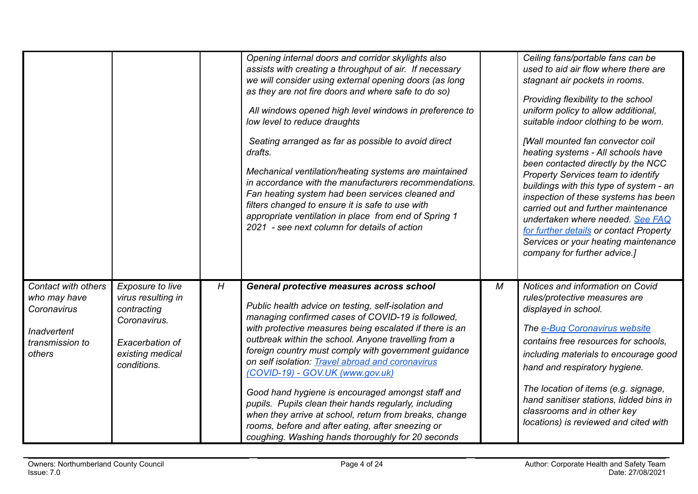|                                                                                                |                                                                                                                                    |   | Opening internal doors and corridor skylights also<br>assists with creating a throughput of air. If necessary<br>we will consider using external opening doors (as long<br>as they are not fire doors and where safe to do so)<br>All windows opened high level windows in preference to<br>low level to reduce draughts<br>Seating arranged as far as possible to avoid direct<br>drafts.<br>Mechanical ventilation/heating systems are maintained<br>in accordance with the manufacturers recommendations.<br>Fan heating system had been services cleaned and<br>filters changed to ensure it is safe to use with<br>appropriate ventilation in place from end of Spring 1<br>2021 - see next column for details of action |   | Ceiling fans/portable fans can be<br>used to aid air flow where there are<br>stagnant air pockets in rooms.<br>Providing flexibility to the school<br>uniform policy to allow additional,<br>suitable indoor clothing to be worn.<br>[Wall mounted fan convector coil<br>heating systems - All schools have<br>been contacted directly by the NCC<br>Property Services team to identify<br>buildings with this type of system - an<br>inspection of these systems has been<br>carried out and further maintenance<br>undertaken where needed. See FAQ<br>for further details or contact Property<br>Services or your heating maintenance<br>company for further advice.] |
|------------------------------------------------------------------------------------------------|------------------------------------------------------------------------------------------------------------------------------------|---|-------------------------------------------------------------------------------------------------------------------------------------------------------------------------------------------------------------------------------------------------------------------------------------------------------------------------------------------------------------------------------------------------------------------------------------------------------------------------------------------------------------------------------------------------------------------------------------------------------------------------------------------------------------------------------------------------------------------------------|---|--------------------------------------------------------------------------------------------------------------------------------------------------------------------------------------------------------------------------------------------------------------------------------------------------------------------------------------------------------------------------------------------------------------------------------------------------------------------------------------------------------------------------------------------------------------------------------------------------------------------------------------------------------------------------|
| Contact with others<br>who may have<br>Coronavirus<br>Inadvertent<br>transmission to<br>others | <b>Exposure to live</b><br>virus resulting in<br>contracting<br>Coronavirus.<br>Exacerbation of<br>existing medical<br>conditions. | H | General protective measures across school<br>Public health advice on testing, self-isolation and<br>managing confirmed cases of COVID-19 is followed,<br>with protective measures being escalated if there is an<br>outbreak within the school. Anyone travelling from a<br>foreign country must comply with government guidance<br>on self isolation: Travel abroad and coronavirus<br>(COVID-19) - GOV.UK (www.gov.uk)<br>Good hand hygiene is encouraged amongst staff and<br>pupils. Pupils clean their hands regularly, including<br>when they arrive at school, return from breaks, change<br>rooms, before and after eating, after sneezing or<br>coughing. Washing hands thoroughly for 20 seconds                    | М | Notices and information on Covid<br>rules/protective measures are<br>displayed in school.<br>The e-Bug Coronavirus website<br>contains free resources for schools,<br>including materials to encourage good<br>hand and respiratory hygiene.<br>The location of items (e.g. signage,<br>hand sanitiser stations, lidded bins in<br>classrooms and in other key<br>locations) is reviewed and cited with                                                                                                                                                                                                                                                                  |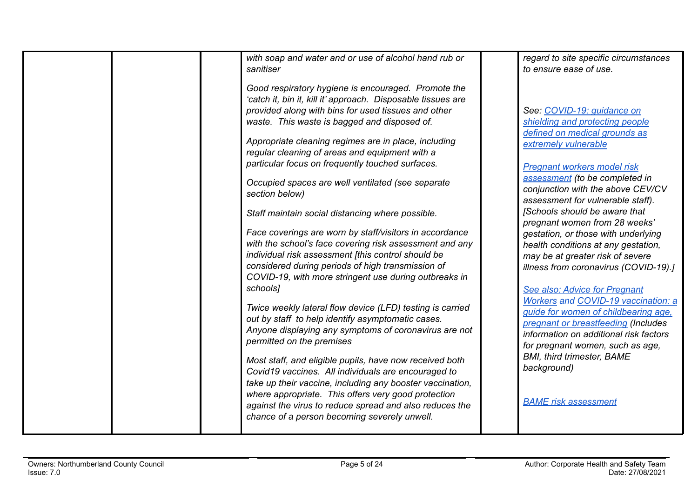| with soap and water and or use of alcohol hand rub or<br>sanitiser                                                                                                                                                                                                                                                                                                                                                                                                                                                                                                                                                                                                                                                                                                                                                                                                                     | regard to site specific circumstances<br>to ensure ease of use.                                                                                                                                                                                                                                                                                                                                                                                                                                                                                                                                                       |
|----------------------------------------------------------------------------------------------------------------------------------------------------------------------------------------------------------------------------------------------------------------------------------------------------------------------------------------------------------------------------------------------------------------------------------------------------------------------------------------------------------------------------------------------------------------------------------------------------------------------------------------------------------------------------------------------------------------------------------------------------------------------------------------------------------------------------------------------------------------------------------------|-----------------------------------------------------------------------------------------------------------------------------------------------------------------------------------------------------------------------------------------------------------------------------------------------------------------------------------------------------------------------------------------------------------------------------------------------------------------------------------------------------------------------------------------------------------------------------------------------------------------------|
| Good respiratory hygiene is encouraged. Promote the<br>'catch it, bin it, kill it' approach. Disposable tissues are<br>provided along with bins for used tissues and other<br>waste. This waste is bagged and disposed of.<br>Appropriate cleaning regimes are in place, including<br>regular cleaning of areas and equipment with a<br>particular focus on frequently touched surfaces.<br>Occupied spaces are well ventilated (see separate<br>section below)<br>Staff maintain social distancing where possible.<br>Face coverings are worn by staff/visitors in accordance<br>with the school's face covering risk assessment and any<br>individual risk assessment [this control should be<br>considered during periods of high transmission of<br>COVID-19, with more stringent use during outbreaks in<br>schools]<br>Twice weekly lateral flow device (LFD) testing is carried | See: COVID-19: quidance on<br>shielding and protecting people<br>defined on medical grounds as<br>extremely vulnerable<br>Pregnant workers model risk<br>assessment (to be completed in<br>conjunction with the above CEV/CV<br>assessment for vulnerable staff).<br>[Schools should be aware that<br>pregnant women from 28 weeks'<br>gestation, or those with underlying<br>health conditions at any gestation,<br>may be at greater risk of severe<br>illness from coronavirus (COVID-19).]<br>See also: Advice for Pregnant<br><b>Workers and COVID-19 vaccination: a</b><br>guide for women of childbearing age. |
| out by staff to help identify asymptomatic cases.<br>Anyone displaying any symptoms of coronavirus are not<br>permitted on the premises                                                                                                                                                                                                                                                                                                                                                                                                                                                                                                                                                                                                                                                                                                                                                | pregnant or breastfeeding (Includes<br>information on additional risk factors<br>for pregnant women, such as age,                                                                                                                                                                                                                                                                                                                                                                                                                                                                                                     |
| Most staff, and eligible pupils, have now received both<br>Covid19 vaccines. All individuals are encouraged to<br>take up their vaccine, including any booster vaccination,<br>where appropriate. This offers very good protection                                                                                                                                                                                                                                                                                                                                                                                                                                                                                                                                                                                                                                                     | <b>BMI, third trimester, BAME</b><br>background)                                                                                                                                                                                                                                                                                                                                                                                                                                                                                                                                                                      |
| against the virus to reduce spread and also reduces the<br>chance of a person becoming severely unwell.                                                                                                                                                                                                                                                                                                                                                                                                                                                                                                                                                                                                                                                                                                                                                                                | <b>BAME</b> risk assessment                                                                                                                                                                                                                                                                                                                                                                                                                                                                                                                                                                                           |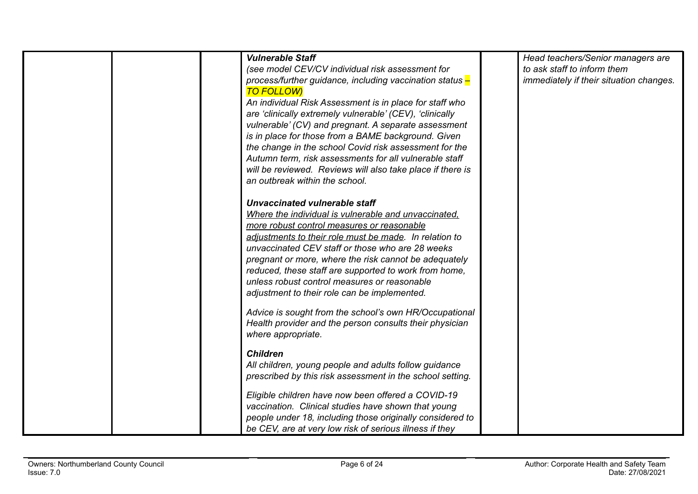| <b>Vulnerable Staff</b><br>(see model CEV/CV individual risk assessment for<br>process/further guidance, including vaccination status -<br><b>TO FOLLOW)</b>                                                                                                                                                                                                                                                                                                                                                                                                                             | Head teachers/Senior managers are<br>to ask staff to inform them<br>immediately if their situation changes. |
|------------------------------------------------------------------------------------------------------------------------------------------------------------------------------------------------------------------------------------------------------------------------------------------------------------------------------------------------------------------------------------------------------------------------------------------------------------------------------------------------------------------------------------------------------------------------------------------|-------------------------------------------------------------------------------------------------------------|
| An individual Risk Assessment is in place for staff who<br>are 'clinically extremely vulnerable' (CEV), 'clinically<br>vulnerable' (CV) and pregnant. A separate assessment<br>is in place for those from a BAME background. Given<br>the change in the school Covid risk assessment for the                                                                                                                                                                                                                                                                                             |                                                                                                             |
| Autumn term, risk assessments for all vulnerable staff<br>will be reviewed. Reviews will also take place if there is<br>an outbreak within the school.                                                                                                                                                                                                                                                                                                                                                                                                                                   |                                                                                                             |
| Unvaccinated vulnerable staff<br>Where the individual is vulnerable and unvaccinated.<br>more robust control measures or reasonable<br>adjustments to their role must be made. In relation to<br>unvaccinated CEV staff or those who are 28 weeks<br>pregnant or more, where the risk cannot be adequately<br>reduced, these staff are supported to work from home,<br>unless robust control measures or reasonable<br>adjustment to their role can be implemented.<br>Advice is sought from the school's own HR/Occupational<br>Health provider and the person consults their physician |                                                                                                             |
| where appropriate.<br><b>Children</b>                                                                                                                                                                                                                                                                                                                                                                                                                                                                                                                                                    |                                                                                                             |
| All children, young people and adults follow guidance<br>prescribed by this risk assessment in the school setting.                                                                                                                                                                                                                                                                                                                                                                                                                                                                       |                                                                                                             |
| Eligible children have now been offered a COVID-19<br>vaccination. Clinical studies have shown that young<br>people under 18, including those originally considered to<br>be CEV, are at very low risk of serious illness if they                                                                                                                                                                                                                                                                                                                                                        |                                                                                                             |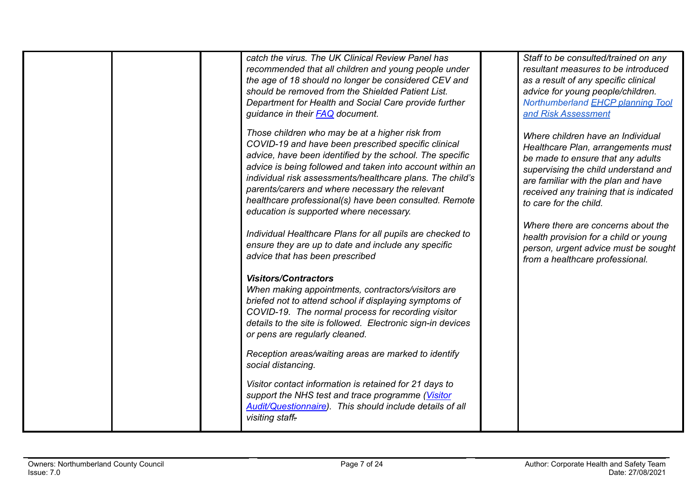| catch the virus. The UK Clinical Review Panel has<br>recommended that all children and young people under<br>the age of 18 should no longer be considered CEV and<br>should be removed from the Shielded Patient List.<br>Department for Health and Social Care provide further<br>guidance in their <b>FAQ</b> document.                                                                                                                            | Staff to be consulted/trained on any<br>resultant measures to be introduced<br>as a result of any specific clinical<br>advice for young people/children.<br>Northumberland <b>EHCP</b> planning Tool<br>and Risk Assessment                                      |
|------------------------------------------------------------------------------------------------------------------------------------------------------------------------------------------------------------------------------------------------------------------------------------------------------------------------------------------------------------------------------------------------------------------------------------------------------|------------------------------------------------------------------------------------------------------------------------------------------------------------------------------------------------------------------------------------------------------------------|
| Those children who may be at a higher risk from<br>COVID-19 and have been prescribed specific clinical<br>advice, have been identified by the school. The specific<br>advice is being followed and taken into account within an<br>individual risk assessments/healthcare plans. The child's<br>parents/carers and where necessary the relevant<br>healthcare professional(s) have been consulted. Remote<br>education is supported where necessary. | Where children have an Individual<br>Healthcare Plan, arrangements must<br>be made to ensure that any adults<br>supervising the child understand and<br>are familiar with the plan and have<br>received any training that is indicated<br>to care for the child. |
| Individual Healthcare Plans for all pupils are checked to<br>ensure they are up to date and include any specific<br>advice that has been prescribed                                                                                                                                                                                                                                                                                                  | Where there are concerns about the<br>health provision for a child or young<br>person, urgent advice must be sought<br>from a healthcare professional.                                                                                                           |
| <b>Visitors/Contractors</b><br>When making appointments, contractors/visitors are<br>briefed not to attend school if displaying symptoms of<br>COVID-19. The normal process for recording visitor<br>details to the site is followed. Electronic sign-in devices<br>or pens are regularly cleaned.                                                                                                                                                   |                                                                                                                                                                                                                                                                  |
| Reception areas/waiting areas are marked to identify<br>social distancing.                                                                                                                                                                                                                                                                                                                                                                           |                                                                                                                                                                                                                                                                  |
| Visitor contact information is retained for 21 days to<br>support the NHS test and trace programme (Visitor<br><b>Audit/Questionnaire)</b> . This should include details of all<br>visiting staff-                                                                                                                                                                                                                                                   |                                                                                                                                                                                                                                                                  |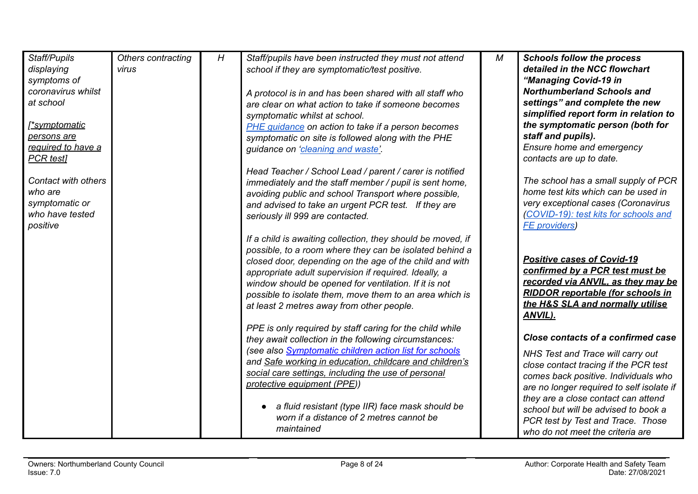| Staff/Pupils        | Others contracting | H | Staff/pupils have been instructed they must not attend        | M | <b>Schools follow the process</b>         |
|---------------------|--------------------|---|---------------------------------------------------------------|---|-------------------------------------------|
| displaying          | virus              |   | school if they are symptomatic/test positive.                 |   | detailed in the NCC flowchart             |
| symptoms of         |                    |   |                                                               |   | "Managing Covid-19 in                     |
| coronavirus whilst  |                    |   | A protocol is in and has been shared with all staff who       |   | <b>Northumberland Schools and</b>         |
| at school           |                    |   | are clear on what action to take if someone becomes           |   | settings" and complete the new            |
|                     |                    |   |                                                               |   | simplified report form in relation to     |
| <u>symptomatic</u>  |                    |   | symptomatic whilst at school.                                 |   | the symptomatic person (both for          |
| persons are         |                    |   | PHE guidance on action to take if a person becomes            |   | staff and pupils).                        |
| required to have a  |                    |   | symptomatic on site is followed along with the PHE            |   | Ensure home and emergency                 |
|                     |                    |   | guidance on 'cleaning and waste'.                             |   |                                           |
| <b>PCR</b> test]    |                    |   |                                                               |   | contacts are up to date.                  |
|                     |                    |   | Head Teacher / School Lead / parent / carer is notified       |   |                                           |
| Contact with others |                    |   | immediately and the staff member / pupil is sent home,        |   | The school has a small supply of PCR      |
| who are             |                    |   | avoiding public and school Transport where possible,          |   | home test kits which can be used in       |
| symptomatic or      |                    |   | and advised to take an urgent PCR test. If they are           |   | very exceptional cases (Coronavirus       |
| who have tested     |                    |   | seriously ill 999 are contacted.                              |   | (COVID-19): test kits for schools and     |
| positive            |                    |   |                                                               |   | <b>FE</b> providers)                      |
|                     |                    |   | If a child is awaiting collection, they should be moved, if   |   |                                           |
|                     |                    |   | possible, to a room where they can be isolated behind a       |   |                                           |
|                     |                    |   | closed door, depending on the age of the child and with       |   | <b>Positive cases of Covid-19</b>         |
|                     |                    |   | appropriate adult supervision if required. Ideally, a         |   | confirmed by a PCR test must be           |
|                     |                    |   | window should be opened for ventilation. If it is not         |   | recorded via ANVIL, as they may be        |
|                     |                    |   | possible to isolate them, move them to an area which is       |   | <b>RIDDOR reportable (for schools in</b>  |
|                     |                    |   | at least 2 metres away from other people.                     |   | the H&S SLA and normally utilise          |
|                     |                    |   |                                                               |   | ANVIL).                                   |
|                     |                    |   | PPE is only required by staff caring for the child while      |   |                                           |
|                     |                    |   | they await collection in the following circumstances:         |   | Close contacts of a confirmed case        |
|                     |                    |   | (see also <b>Symptomatic children action list for schools</b> |   | NHS Test and Trace will carry out         |
|                     |                    |   | and Safe working in education, childcare and children's       |   | close contact tracing if the PCR test     |
|                     |                    |   | social care settings, including the use of personal           |   | comes back positive. Individuals who      |
|                     |                    |   | protective equipment (PPE))                                   |   |                                           |
|                     |                    |   |                                                               |   | are no longer required to self isolate if |
|                     |                    |   | a fluid resistant (type IIR) face mask should be              |   | they are a close contact can attend       |
|                     |                    |   | worn if a distance of 2 metres cannot be                      |   | school but will be advised to book a      |
|                     |                    |   | maintained                                                    |   | PCR test by Test and Trace. Those         |
|                     |                    |   |                                                               |   | who do not meet the criteria are          |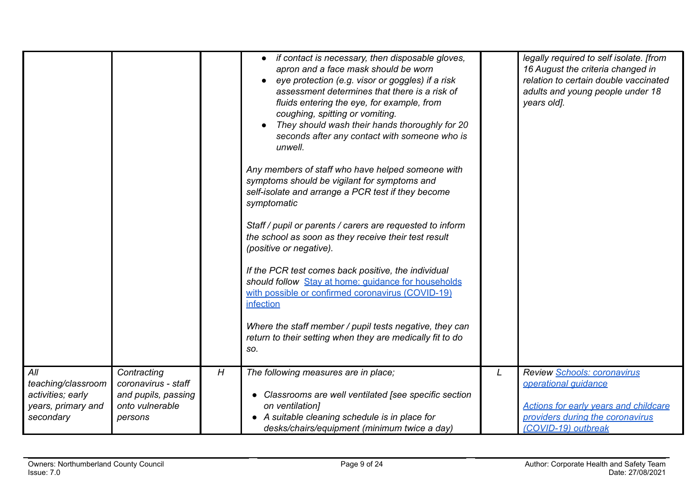|                    |                     |   | if contact is necessary, then disposable gloves,<br>apron and a face mask should be worn<br>eye protection (e.g. visor or goggles) if a risk<br>assessment determines that there is a risk of<br>fluids entering the eye, for example, from<br>coughing, spitting or vomiting.<br>They should wash their hands thoroughly for 20<br>seconds after any contact with someone who is<br>unwell.<br>Any members of staff who have helped someone with<br>symptoms should be vigilant for symptoms and<br>self-isolate and arrange a PCR test if they become<br>symptomatic<br>Staff / pupil or parents / carers are requested to inform<br>the school as soon as they receive their test result<br>(positive or negative).<br>If the PCR test comes back positive, the individual<br>should follow Stay at home: guidance for households<br>with possible or confirmed coronavirus (COVID-19)<br>infection<br>Where the staff member / pupil tests negative, they can<br>return to their setting when they are medically fit to do<br>SO. |   | legally required to self isolate. [from<br>16 August the criteria changed in<br>relation to certain double vaccinated<br>adults and young people under 18<br>years old]. |
|--------------------|---------------------|---|---------------------------------------------------------------------------------------------------------------------------------------------------------------------------------------------------------------------------------------------------------------------------------------------------------------------------------------------------------------------------------------------------------------------------------------------------------------------------------------------------------------------------------------------------------------------------------------------------------------------------------------------------------------------------------------------------------------------------------------------------------------------------------------------------------------------------------------------------------------------------------------------------------------------------------------------------------------------------------------------------------------------------------------|---|--------------------------------------------------------------------------------------------------------------------------------------------------------------------------|
| All                | Contracting         | H | The following measures are in place;                                                                                                                                                                                                                                                                                                                                                                                                                                                                                                                                                                                                                                                                                                                                                                                                                                                                                                                                                                                                  | L | Review Schools: coronavirus                                                                                                                                              |
| teaching/classroom | coronavirus - staff |   |                                                                                                                                                                                                                                                                                                                                                                                                                                                                                                                                                                                                                                                                                                                                                                                                                                                                                                                                                                                                                                       |   | operational quidance                                                                                                                                                     |
| activities; early  | and pupils, passing |   | Classrooms are well ventilated [see specific section                                                                                                                                                                                                                                                                                                                                                                                                                                                                                                                                                                                                                                                                                                                                                                                                                                                                                                                                                                                  |   |                                                                                                                                                                          |
| years, primary and | onto vulnerable     |   | on ventilation]                                                                                                                                                                                                                                                                                                                                                                                                                                                                                                                                                                                                                                                                                                                                                                                                                                                                                                                                                                                                                       |   | <b>Actions for early years and childcare</b>                                                                                                                             |
| secondary          | persons             |   | • A suitable cleaning schedule is in place for                                                                                                                                                                                                                                                                                                                                                                                                                                                                                                                                                                                                                                                                                                                                                                                                                                                                                                                                                                                        |   | providers during the coronavirus                                                                                                                                         |
|                    |                     |   | desks/chairs/equipment (minimum twice a day)                                                                                                                                                                                                                                                                                                                                                                                                                                                                                                                                                                                                                                                                                                                                                                                                                                                                                                                                                                                          |   | (COVID-19) outbreak                                                                                                                                                      |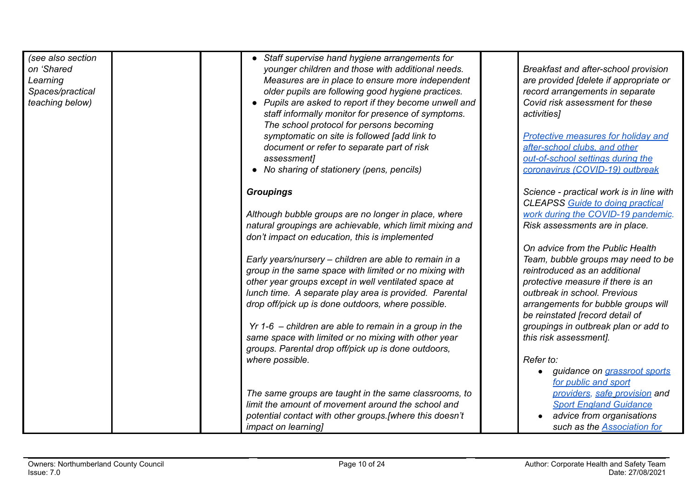| (see also section<br>on 'Shared<br>Learning<br>Spaces/practical<br>teaching below) | • Staff supervise hand hygiene arrangements for<br>younger children and those with additional needs.<br>Measures are in place to ensure more independent<br>older pupils are following good hygiene practices.<br>• Pupils are asked to report if they become unwell and<br>staff informally monitor for presence of symptoms.<br>The school protocol for persons becoming<br>symptomatic on site is followed [add link to<br>document or refer to separate part of risk<br>assessment]<br>• No sharing of stationery (pens, pencils) | Breakfast and after-school provision<br>are provided [delete if appropriate or<br>record arrangements in separate<br>Covid risk assessment for these<br>activities]<br>Protective measures for holiday and<br>after-school clubs, and other<br>out-of-school settings during the<br>coronavirus (COVID-19) outbreak |
|------------------------------------------------------------------------------------|---------------------------------------------------------------------------------------------------------------------------------------------------------------------------------------------------------------------------------------------------------------------------------------------------------------------------------------------------------------------------------------------------------------------------------------------------------------------------------------------------------------------------------------|---------------------------------------------------------------------------------------------------------------------------------------------------------------------------------------------------------------------------------------------------------------------------------------------------------------------|
|                                                                                    | <b>Groupings</b><br>Although bubble groups are no longer in place, where                                                                                                                                                                                                                                                                                                                                                                                                                                                              | Science - practical work is in line with<br><b>CLEAPSS Guide to doing practical</b><br>work during the COVID-19 pandemic.                                                                                                                                                                                           |
|                                                                                    | natural groupings are achievable, which limit mixing and<br>don't impact on education, this is implemented                                                                                                                                                                                                                                                                                                                                                                                                                            | Risk assessments are in place.                                                                                                                                                                                                                                                                                      |
|                                                                                    | Early years/nursery - children are able to remain in a<br>group in the same space with limited or no mixing with<br>other year groups except in well ventilated space at<br>lunch time. A separate play area is provided. Parental<br>drop off/pick up is done outdoors, where possible.                                                                                                                                                                                                                                              | On advice from the Public Health<br>Team, bubble groups may need to be<br>reintroduced as an additional<br>protective measure if there is an<br>outbreak in school. Previous<br>arrangements for bubble groups will<br>be reinstated [record detail of                                                              |
|                                                                                    | $Yr$ 1-6 – children are able to remain in a group in the<br>same space with limited or no mixing with other year<br>groups. Parental drop off/pick up is done outdoors,                                                                                                                                                                                                                                                                                                                                                               | groupings in outbreak plan or add to<br>this risk assessment].                                                                                                                                                                                                                                                      |
|                                                                                    | where possible.                                                                                                                                                                                                                                                                                                                                                                                                                                                                                                                       | Refer to:<br>guidance on grassroot sports<br>for public and sport                                                                                                                                                                                                                                                   |
|                                                                                    | The same groups are taught in the same classrooms, to<br>limit the amount of movement around the school and<br>potential contact with other groups.[where this doesn't                                                                                                                                                                                                                                                                                                                                                                | providers, safe provision and<br><b>Sport England Guidance</b><br>advice from organisations                                                                                                                                                                                                                         |
|                                                                                    | <i>impact on learning</i>                                                                                                                                                                                                                                                                                                                                                                                                                                                                                                             | such as the Association for                                                                                                                                                                                                                                                                                         |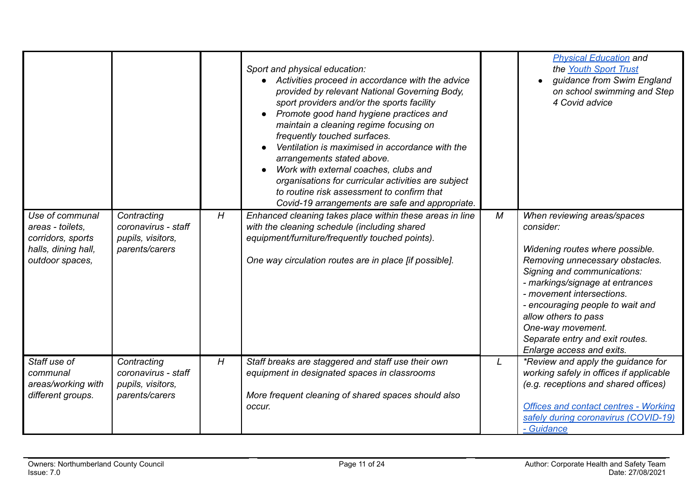|                                                                                                    |                                                                           |   | Sport and physical education:<br>Activities proceed in accordance with the advice<br>provided by relevant National Governing Body,<br>sport providers and/or the sports facility<br>Promote good hand hygiene practices and<br>maintain a cleaning regime focusing on<br>frequently touched surfaces.<br>Ventilation is maximised in accordance with the<br>arrangements stated above.<br>Work with external coaches, clubs and<br>organisations for curricular activities are subject<br>to routine risk assessment to confirm that<br>Covid-19 arrangements are safe and appropriate. |              | <b>Physical Education and</b><br>the Youth Sport Trust<br>guidance from Swim England<br>on school swimming and Step<br>4 Covid advice                                                                                                                                                                                                                          |
|----------------------------------------------------------------------------------------------------|---------------------------------------------------------------------------|---|-----------------------------------------------------------------------------------------------------------------------------------------------------------------------------------------------------------------------------------------------------------------------------------------------------------------------------------------------------------------------------------------------------------------------------------------------------------------------------------------------------------------------------------------------------------------------------------------|--------------|----------------------------------------------------------------------------------------------------------------------------------------------------------------------------------------------------------------------------------------------------------------------------------------------------------------------------------------------------------------|
| Use of communal<br>areas - toilets,<br>corridors, sports<br>halls, dining hall,<br>outdoor spaces, | Contracting<br>coronavirus - staff<br>pupils, visitors,<br>parents/carers | H | Enhanced cleaning takes place within these areas in line<br>with the cleaning schedule (including shared<br>equipment/furniture/frequently touched points).<br>One way circulation routes are in place [if possible].                                                                                                                                                                                                                                                                                                                                                                   | М            | When reviewing areas/spaces<br>consider:<br>Widening routes where possible.<br>Removing unnecessary obstacles.<br>Signing and communications:<br>- markings/signage at entrances<br>- movement intersections.<br>- encouraging people to wait and<br>allow others to pass<br>One-way movement.<br>Separate entry and exit routes.<br>Enlarge access and exits. |
| Staff use of<br>communal<br>areas/working with<br>different groups.                                | Contracting<br>coronavirus - staff<br>pupils, visitors,<br>parents/carers | H | Staff breaks are staggered and staff use their own<br>equipment in designated spaces in classrooms<br>More frequent cleaning of shared spaces should also<br>occur.                                                                                                                                                                                                                                                                                                                                                                                                                     | $\mathsf{L}$ | *Review and apply the guidance for<br>working safely in offices if applicable<br>(e.g. receptions and shared offices)<br><b>Offices and contact centres - Working</b><br>safely during coronavirus (COVID-19)<br>- Guidance                                                                                                                                    |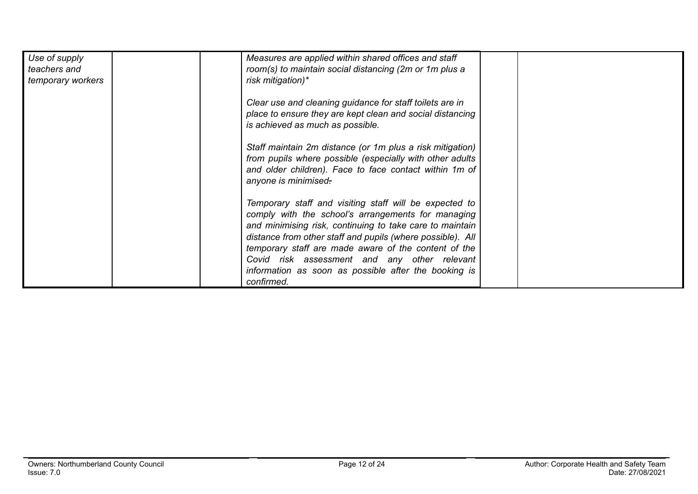| Use of supply<br>teachers and<br>temporary workers | Measures are applied within shared offices and staff<br>room(s) to maintain social distancing (2m or 1m plus a<br>risk mitigation)*                                                                                                                                                                                                                                                                                  |  |
|----------------------------------------------------|----------------------------------------------------------------------------------------------------------------------------------------------------------------------------------------------------------------------------------------------------------------------------------------------------------------------------------------------------------------------------------------------------------------------|--|
|                                                    | Clear use and cleaning guidance for staff toilets are in<br>place to ensure they are kept clean and social distancing<br>is achieved as much as possible.                                                                                                                                                                                                                                                            |  |
|                                                    | Staff maintain 2m distance (or 1m plus a risk mitigation)<br>from pupils where possible (especially with other adults<br>and older children). Face to face contact within 1m of<br>anyone is minimised.                                                                                                                                                                                                              |  |
|                                                    | Temporary staff and visiting staff will be expected to<br>comply with the school's arrangements for managing<br>and minimising risk, continuing to take care to maintain<br>distance from other staff and pupils (where possible). All<br>temporary staff are made aware of the content of the<br>Covid risk assessment and any other relevant<br>information as soon as possible after the booking is<br>confirmed. |  |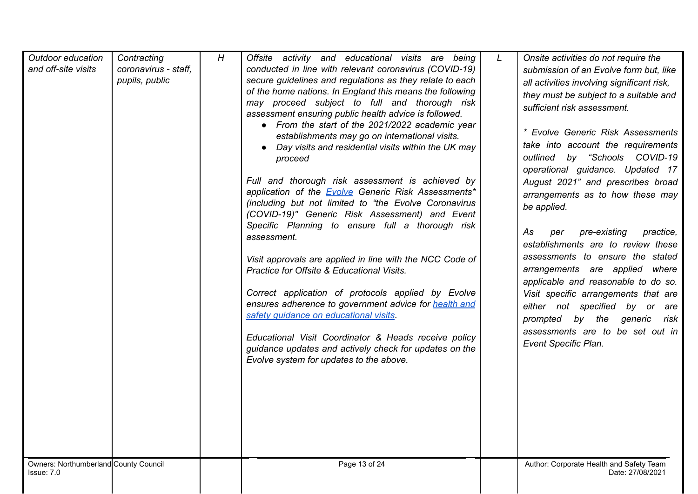| Outdoor education<br>and off-site visits<br>Owners: Northumberland County Council | Contracting<br>coronavirus - staff,<br>pupils, public | H | Offsite activity and educational visits are being<br>conducted in line with relevant coronavirus (COVID-19)<br>secure guidelines and regulations as they relate to each<br>of the home nations. In England this means the following<br>may proceed subject to full and thorough risk<br>assessment ensuring public health advice is followed.<br>• From the start of the 2021/2022 academic year<br>establishments may go on international visits.<br>• Day visits and residential visits within the UK may<br>proceed<br>Full and thorough risk assessment is achieved by<br>application of the <b>Evolve</b> Generic Risk Assessments*<br>(including but not limited to "the Evolve Coronavirus<br>(COVID-19)" Generic Risk Assessment) and Event<br>Specific Planning to ensure full a thorough risk<br>assessment.<br>Visit approvals are applied in line with the NCC Code of<br>Practice for Offsite & Educational Visits.<br>Correct application of protocols applied by Evolve<br>ensures adherence to government advice for health and<br>safety guidance on educational visits.<br>Educational Visit Coordinator & Heads receive policy<br>guidance updates and actively check for updates on the<br>Evolve system for updates to the above.<br>Page 13 of 24 | $\mathsf{\mathsf{L}}$ | Onsite activities do not require the<br>submission of an Evolve form but, like<br>all activities involving significant risk,<br>they must be subject to a suitable and<br>sufficient risk assessment.<br>* Evolve Generic Risk Assessments<br>take into account the requirements<br>outlined by "Schools COVID-19<br>operational guidance. Updated 17<br>August 2021" and prescribes broad<br>arrangements as to how these may<br>be applied.<br>As<br>pre-existing<br>practice,<br>per<br>establishments are to review these<br>assessments to ensure the stated<br>arrangements are applied where<br>applicable and reasonable to do so.<br>Visit specific arrangements that are<br>either not specified by or are<br>prompted by the generic<br>risk<br>assessments are to be set out in<br>Event Specific Plan.<br>Author: Corporate Health and Safety Team |
|-----------------------------------------------------------------------------------|-------------------------------------------------------|---|-------------------------------------------------------------------------------------------------------------------------------------------------------------------------------------------------------------------------------------------------------------------------------------------------------------------------------------------------------------------------------------------------------------------------------------------------------------------------------------------------------------------------------------------------------------------------------------------------------------------------------------------------------------------------------------------------------------------------------------------------------------------------------------------------------------------------------------------------------------------------------------------------------------------------------------------------------------------------------------------------------------------------------------------------------------------------------------------------------------------------------------------------------------------------------------------------------------------------------------------------------------------------|-----------------------|-----------------------------------------------------------------------------------------------------------------------------------------------------------------------------------------------------------------------------------------------------------------------------------------------------------------------------------------------------------------------------------------------------------------------------------------------------------------------------------------------------------------------------------------------------------------------------------------------------------------------------------------------------------------------------------------------------------------------------------------------------------------------------------------------------------------------------------------------------------------|
| Issue: 7.0                                                                        |                                                       |   |                                                                                                                                                                                                                                                                                                                                                                                                                                                                                                                                                                                                                                                                                                                                                                                                                                                                                                                                                                                                                                                                                                                                                                                                                                                                         |                       | Date: 27/08/2021                                                                                                                                                                                                                                                                                                                                                                                                                                                                                                                                                                                                                                                                                                                                                                                                                                                |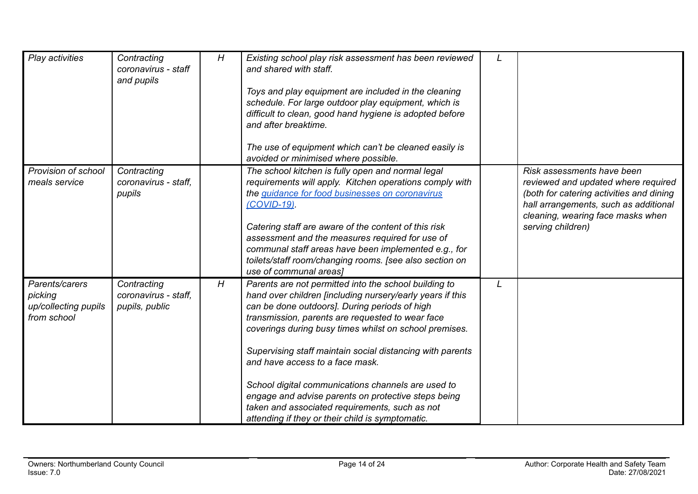| Play activities                                                  | Contracting<br>coronavirus - staff<br>and pupils      | H | Existing school play risk assessment has been reviewed<br>and shared with staff.<br>Toys and play equipment are included in the cleaning<br>schedule. For large outdoor play equipment, which is<br>difficult to clean, good hand hygiene is adopted before<br>and after breaktime.<br>The use of equipment which can't be cleaned easily is<br>avoided or minimised where possible.                                                                                                                                                                                                                 |                                                                                                                                                                                                                  |
|------------------------------------------------------------------|-------------------------------------------------------|---|------------------------------------------------------------------------------------------------------------------------------------------------------------------------------------------------------------------------------------------------------------------------------------------------------------------------------------------------------------------------------------------------------------------------------------------------------------------------------------------------------------------------------------------------------------------------------------------------------|------------------------------------------------------------------------------------------------------------------------------------------------------------------------------------------------------------------|
| Provision of school<br>meals service                             | Contracting<br>coronavirus - staff.<br>pupils         |   | The school kitchen is fully open and normal legal<br>requirements will apply. Kitchen operations comply with<br>the guidance for food businesses on coronavirus<br>(COVID-19)<br>Catering staff are aware of the content of this risk<br>assessment and the measures required for use of<br>communal staff areas have been implemented e.g., for<br>toilets/staff room/changing rooms. [see also section on<br>use of communal areas]                                                                                                                                                                | Risk assessments have been<br>reviewed and updated where required<br>(both for catering activities and dining<br>hall arrangements, such as additional<br>cleaning, wearing face masks when<br>serving children) |
| Parents/carers<br>picking<br>up/collecting pupils<br>from school | Contracting<br>coronavirus - staff.<br>pupils, public | H | Parents are not permitted into the school building to<br>hand over children [including nursery/early years if this<br>can be done outdoors]. During periods of high<br>transmission, parents are requested to wear face<br>coverings during busy times whilst on school premises.<br>Supervising staff maintain social distancing with parents<br>and have access to a face mask.<br>School digital communications channels are used to<br>engage and advise parents on protective steps being<br>taken and associated requirements, such as not<br>attending if they or their child is symptomatic. |                                                                                                                                                                                                                  |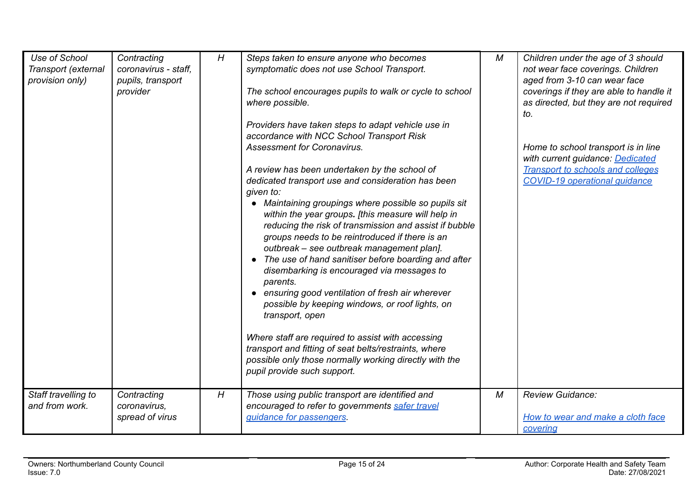| Use of School<br>Transport (external<br>provision only)<br>Staff travelling to | Contracting<br>coronavirus - staff,<br>pupils, transport<br>provider<br>Contracting | H<br>H | Steps taken to ensure anyone who becomes<br>symptomatic does not use School Transport.<br>The school encourages pupils to walk or cycle to school<br>where possible.<br>Providers have taken steps to adapt vehicle use in<br>accordance with NCC School Transport Risk<br><b>Assessment for Coronavirus.</b><br>A review has been undertaken by the school of<br>dedicated transport use and consideration has been<br>given to:<br>• Maintaining groupings where possible so pupils sit<br>within the year groups. [this measure will help in<br>reducing the risk of transmission and assist if bubble<br>groups needs to be reintroduced if there is an<br>outbreak - see outbreak management plan].<br>The use of hand sanitiser before boarding and after<br>disembarking is encouraged via messages to<br>parents.<br>• ensuring good ventilation of fresh air wherever<br>possible by keeping windows, or roof lights, on<br>transport, open<br>Where staff are required to assist with accessing<br>transport and fitting of seat belts/restraints, where<br>possible only those normally working directly with the<br>pupil provide such support.<br>Those using public transport are identified and | М<br>М | Children under the age of 3 should<br>not wear face coverings. Children<br>aged from 3-10 can wear face<br>coverings if they are able to handle it<br>as directed, but they are not required<br>to.<br>Home to school transport is in line<br>with current guidance: Dedicated<br><b>Transport to schools and colleges</b><br><b>COVID-19 operational guidance</b><br><b>Review Guidance:</b> |
|--------------------------------------------------------------------------------|-------------------------------------------------------------------------------------|--------|----------------------------------------------------------------------------------------------------------------------------------------------------------------------------------------------------------------------------------------------------------------------------------------------------------------------------------------------------------------------------------------------------------------------------------------------------------------------------------------------------------------------------------------------------------------------------------------------------------------------------------------------------------------------------------------------------------------------------------------------------------------------------------------------------------------------------------------------------------------------------------------------------------------------------------------------------------------------------------------------------------------------------------------------------------------------------------------------------------------------------------------------------------------------------------------------------------------|--------|-----------------------------------------------------------------------------------------------------------------------------------------------------------------------------------------------------------------------------------------------------------------------------------------------------------------------------------------------------------------------------------------------|
| and from work.                                                                 | coronavirus,<br>spread of virus                                                     |        | encouraged to refer to governments safer travel<br>quidance for passengers.                                                                                                                                                                                                                                                                                                                                                                                                                                                                                                                                                                                                                                                                                                                                                                                                                                                                                                                                                                                                                                                                                                                                    |        | How to wear and make a cloth face<br>covering                                                                                                                                                                                                                                                                                                                                                 |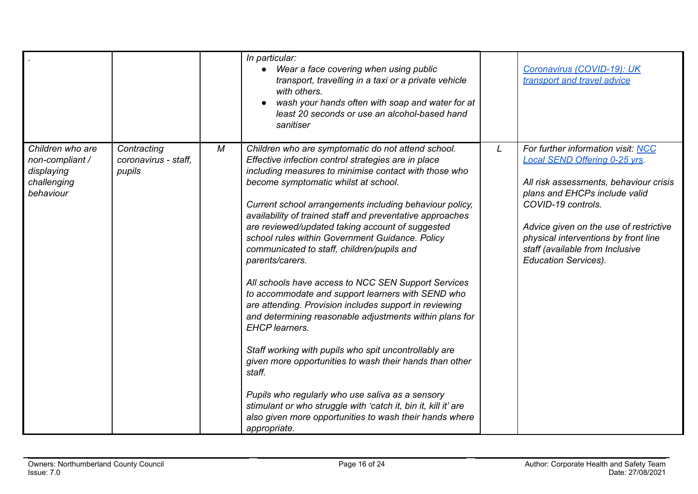|                                                                               |                                               |   | In particular:<br>Wear a face covering when using public<br>transport, travelling in a taxi or a private vehicle<br>with others.<br>wash your hands often with soap and water for at<br>least 20 seconds or use an alcohol-based hand<br>sanitiser                                                                                                                                                                                                                                                                                                                                                                                                                                                                                                                                                                                                                                                                                                                                                                                                                                                  |   | Coronavirus (COVID-19): UK<br>transport and travel advice                                                                                                                                                                                                                                                                       |
|-------------------------------------------------------------------------------|-----------------------------------------------|---|-----------------------------------------------------------------------------------------------------------------------------------------------------------------------------------------------------------------------------------------------------------------------------------------------------------------------------------------------------------------------------------------------------------------------------------------------------------------------------------------------------------------------------------------------------------------------------------------------------------------------------------------------------------------------------------------------------------------------------------------------------------------------------------------------------------------------------------------------------------------------------------------------------------------------------------------------------------------------------------------------------------------------------------------------------------------------------------------------------|---|---------------------------------------------------------------------------------------------------------------------------------------------------------------------------------------------------------------------------------------------------------------------------------------------------------------------------------|
| Children who are<br>non-compliant /<br>displaying<br>challenging<br>behaviour | Contracting<br>coronavirus - staff.<br>pupils | М | Children who are symptomatic do not attend school.<br>Effective infection control strategies are in place<br>including measures to minimise contact with those who<br>become symptomatic whilst at school.<br>Current school arrangements including behaviour policy,<br>availability of trained staff and preventative approaches<br>are reviewed/updated taking account of suggested<br>school rules within Government Guidance. Policy<br>communicated to staff, children/pupils and<br>parents/carers.<br>All schools have access to NCC SEN Support Services<br>to accommodate and support learners with SEND who<br>are attending. Provision includes support in reviewing<br>and determining reasonable adjustments within plans for<br><b>EHCP</b> learners.<br>Staff working with pupils who spit uncontrollably are<br>given more opportunities to wash their hands than other<br>staff.<br>Pupils who regularly who use saliva as a sensory<br>stimulant or who struggle with 'catch it, bin it, kill it' are<br>also given more opportunities to wash their hands where<br>appropriate. | L | For further information visit: NCC<br><b>Local SEND Offering 0-25 vrs.</b><br>All risk assessments, behaviour crisis<br>plans and EHCPs include valid<br>COVID-19 controls.<br>Advice given on the use of restrictive<br>physical interventions by front line<br>staff (available from Inclusive<br><b>Education Services).</b> |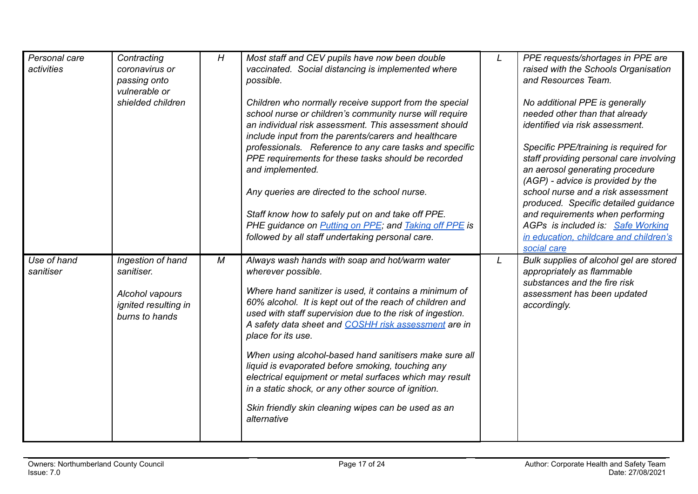| Personal care<br>activities | Contracting<br>coronavirus or<br>passing onto<br>vulnerable or<br>shielded children          | H          | Most staff and CEV pupils have now been double<br>vaccinated. Social distancing is implemented where<br>possible.<br>Children who normally receive support from the special<br>school nurse or children's community nurse will require<br>an individual risk assessment. This assessment should<br>include input from the parents/carers and healthcare<br>professionals. Reference to any care tasks and specific<br>PPE requirements for these tasks should be recorded<br>and implemented.<br>Any queries are directed to the school nurse.<br>Staff know how to safely put on and take off PPE.<br>PHE guidance on <b>Putting on PPE</b> ; and <b>Taking off PPE</b> is<br>followed by all staff undertaking personal care. | L | PPE requests/shortages in PPE are<br>raised with the Schools Organisation<br>and Resources Team.<br>No additional PPE is generally<br>needed other than that already<br><i>identified via risk assessment.</i><br>Specific PPE/training is required for<br>staff providing personal care involving<br>an aerosol generating procedure<br>(AGP) - advice is provided by the<br>school nurse and a risk assessment<br>produced. Specific detailed guidance<br>and requirements when performing<br>AGPs is included is: Safe Working<br>in education, childcare and children's |
|-----------------------------|----------------------------------------------------------------------------------------------|------------|---------------------------------------------------------------------------------------------------------------------------------------------------------------------------------------------------------------------------------------------------------------------------------------------------------------------------------------------------------------------------------------------------------------------------------------------------------------------------------------------------------------------------------------------------------------------------------------------------------------------------------------------------------------------------------------------------------------------------------|---|-----------------------------------------------------------------------------------------------------------------------------------------------------------------------------------------------------------------------------------------------------------------------------------------------------------------------------------------------------------------------------------------------------------------------------------------------------------------------------------------------------------------------------------------------------------------------------|
| Use of hand<br>sanitiser    | Ingestion of hand<br>sanitiser.<br>Alcohol vapours<br>ignited resulting in<br>burns to hands | ${\cal M}$ | Always wash hands with soap and hot/warm water<br>wherever possible.<br>Where hand sanitizer is used, it contains a minimum of<br>60% alcohol. It is kept out of the reach of children and<br>used with staff supervision due to the risk of ingestion.<br>A safety data sheet and COSHH risk assessment are in<br>place for its use.<br>When using alcohol-based hand sanitisers make sure all<br>liquid is evaporated before smoking, touching any<br>electrical equipment or metal surfaces which may result<br>in a static shock, or any other source of ignition.<br>Skin friendly skin cleaning wipes can be used as an<br>alternative                                                                                    | L | social care<br>Bulk supplies of alcohol gel are stored<br>appropriately as flammable<br>substances and the fire risk<br>assessment has been updated<br>accordingly.                                                                                                                                                                                                                                                                                                                                                                                                         |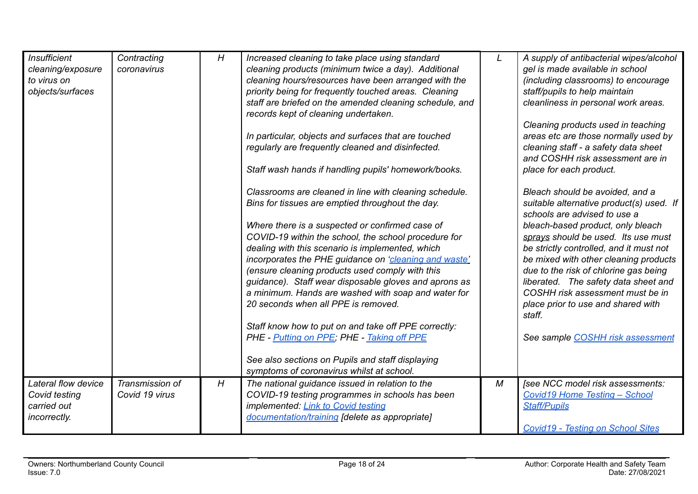| <b>Insufficient</b><br>cleaning/exposure<br>to virus on<br>objects/surfaces | Contracting<br>coronavirus | H | Increased cleaning to take place using standard<br>cleaning products (minimum twice a day). Additional<br>cleaning hours/resources have been arranged with the<br>priority being for frequently touched areas. Cleaning<br>staff are briefed on the amended cleaning schedule, and<br>records kept of cleaning undertaken.<br>In particular, objects and surfaces that are touched<br>regularly are frequently cleaned and disinfected.<br>Staff wash hands if handling pupils' homework/books.<br>Classrooms are cleaned in line with cleaning schedule.<br>Bins for tissues are emptied throughout the day.<br>Where there is a suspected or confirmed case of<br>COVID-19 within the school, the school procedure for<br>dealing with this scenario is implemented, which<br>incorporates the PHE guidance on 'cleaning and waste'<br>(ensure cleaning products used comply with this<br>guidance). Staff wear disposable gloves and aprons as<br>a minimum. Hands are washed with soap and water for<br>20 seconds when all PPE is removed.<br>Staff know how to put on and take off PPE correctly:<br>PHE - Putting on PPE; PHE - Taking off PPE<br>See also sections on Pupils and staff displaying<br>symptoms of coronavirus whilst at school. | L | A supply of antibacterial wipes/alcohol<br>gel is made available in school<br>(including classrooms) to encourage<br>staff/pupils to help maintain<br>cleanliness in personal work areas.<br>Cleaning products used in teaching<br>areas etc are those normally used by<br>cleaning staff - a safety data sheet<br>and COSHH risk assessment are in<br>place for each product.<br>Bleach should be avoided, and a<br>suitable alternative product(s) used. If<br>schools are advised to use a<br>bleach-based product, only bleach<br>sprays should be used. Its use must<br>be strictly controlled, and it must not<br>be mixed with other cleaning products<br>due to the risk of chlorine gas being<br>liberated. The safety data sheet and<br>COSHH risk assessment must be in<br>place prior to use and shared with<br>staff.<br>See sample COSHH risk assessment |
|-----------------------------------------------------------------------------|----------------------------|---|--------------------------------------------------------------------------------------------------------------------------------------------------------------------------------------------------------------------------------------------------------------------------------------------------------------------------------------------------------------------------------------------------------------------------------------------------------------------------------------------------------------------------------------------------------------------------------------------------------------------------------------------------------------------------------------------------------------------------------------------------------------------------------------------------------------------------------------------------------------------------------------------------------------------------------------------------------------------------------------------------------------------------------------------------------------------------------------------------------------------------------------------------------------------------------------------------------------------------------------------------------|---|------------------------------------------------------------------------------------------------------------------------------------------------------------------------------------------------------------------------------------------------------------------------------------------------------------------------------------------------------------------------------------------------------------------------------------------------------------------------------------------------------------------------------------------------------------------------------------------------------------------------------------------------------------------------------------------------------------------------------------------------------------------------------------------------------------------------------------------------------------------------|
| Lateral flow device                                                         | Transmission of            | H | The national guidance issued in relation to the                                                                                                                                                                                                                                                                                                                                                                                                                                                                                                                                                                                                                                                                                                                                                                                                                                                                                                                                                                                                                                                                                                                                                                                                        | М | [see NCC model risk assessments:                                                                                                                                                                                                                                                                                                                                                                                                                                                                                                                                                                                                                                                                                                                                                                                                                                       |
| Covid testing                                                               | Covid 19 virus             |   | COVID-19 testing programmes in schools has been                                                                                                                                                                                                                                                                                                                                                                                                                                                                                                                                                                                                                                                                                                                                                                                                                                                                                                                                                                                                                                                                                                                                                                                                        |   | Covid19 Home Testing - School                                                                                                                                                                                                                                                                                                                                                                                                                                                                                                                                                                                                                                                                                                                                                                                                                                          |
| carried out                                                                 |                            |   | implemented: Link to Covid testing                                                                                                                                                                                                                                                                                                                                                                                                                                                                                                                                                                                                                                                                                                                                                                                                                                                                                                                                                                                                                                                                                                                                                                                                                     |   | <b>Staff/Pupils</b>                                                                                                                                                                                                                                                                                                                                                                                                                                                                                                                                                                                                                                                                                                                                                                                                                                                    |
| incorrectly.                                                                |                            |   | documentation/training [delete as appropriate]                                                                                                                                                                                                                                                                                                                                                                                                                                                                                                                                                                                                                                                                                                                                                                                                                                                                                                                                                                                                                                                                                                                                                                                                         |   |                                                                                                                                                                                                                                                                                                                                                                                                                                                                                                                                                                                                                                                                                                                                                                                                                                                                        |
|                                                                             |                            |   |                                                                                                                                                                                                                                                                                                                                                                                                                                                                                                                                                                                                                                                                                                                                                                                                                                                                                                                                                                                                                                                                                                                                                                                                                                                        |   | <b>Covid19 - Testing on School Sites</b>                                                                                                                                                                                                                                                                                                                                                                                                                                                                                                                                                                                                                                                                                                                                                                                                                               |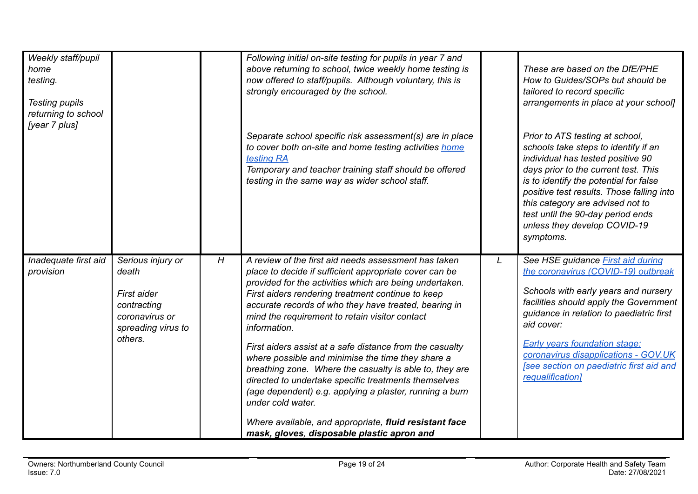| Weekly staff/pupil<br>home<br>testing.<br><b>Testing pupils</b><br>returning to school<br>[year 7 plus] |                                                                                                             |   | Following initial on-site testing for pupils in year 7 and<br>above returning to school, twice weekly home testing is<br>now offered to staff/pupils. Although voluntary, this is<br>strongly encouraged by the school.<br>Separate school specific risk assessment(s) are in place<br>to cover both on-site and home testing activities home                                                                                                                                                                                                                                                                                                                                                                                                                                         |   | These are based on the DfE/PHE<br>How to Guides/SOPs but should be<br>tailored to record specific<br>arrangements in place at your school]<br>Prior to ATS testing at school,<br>schools take steps to identify if an                                                                                                                                                             |
|---------------------------------------------------------------------------------------------------------|-------------------------------------------------------------------------------------------------------------|---|---------------------------------------------------------------------------------------------------------------------------------------------------------------------------------------------------------------------------------------------------------------------------------------------------------------------------------------------------------------------------------------------------------------------------------------------------------------------------------------------------------------------------------------------------------------------------------------------------------------------------------------------------------------------------------------------------------------------------------------------------------------------------------------|---|-----------------------------------------------------------------------------------------------------------------------------------------------------------------------------------------------------------------------------------------------------------------------------------------------------------------------------------------------------------------------------------|
|                                                                                                         |                                                                                                             |   | testing RA<br>Temporary and teacher training staff should be offered<br>testing in the same way as wider school staff.                                                                                                                                                                                                                                                                                                                                                                                                                                                                                                                                                                                                                                                                |   | individual has tested positive 90<br>days prior to the current test. This<br>is to identify the potential for false<br>positive test results. Those falling into<br>this category are advised not to<br>test until the 90-day period ends<br>unless they develop COVID-19<br>symptoms.                                                                                            |
| Inadequate first aid<br>provision                                                                       | Serious injury or<br>death<br>First aider<br>contracting<br>coronavirus or<br>spreading virus to<br>others. | H | A review of the first aid needs assessment has taken<br>place to decide if sufficient appropriate cover can be<br>provided for the activities which are being undertaken.<br>First aiders rendering treatment continue to keep<br>accurate records of who they have treated, bearing in<br>mind the requirement to retain visitor contact<br>information.<br>First aiders assist at a safe distance from the casualty<br>where possible and minimise the time they share a<br>breathing zone. Where the casualty is able to, they are<br>directed to undertake specific treatments themselves<br>(age dependent) e.g. applying a plaster, running a burn<br>under cold water.<br>Where available, and appropriate, fluid resistant face<br>mask, gloves, disposable plastic apron and | L | See HSE guidance <b>First aid during</b><br>the coronavirus (COVID-19) outbreak<br>Schools with early years and nursery<br>facilities should apply the Government<br>guidance in relation to paediatric first<br>aid cover:<br><b>Early years foundation stage:</b><br>coronavirus disapplications - GOV.UK<br><b>See section on paediatric first aid and</b><br>requalification] |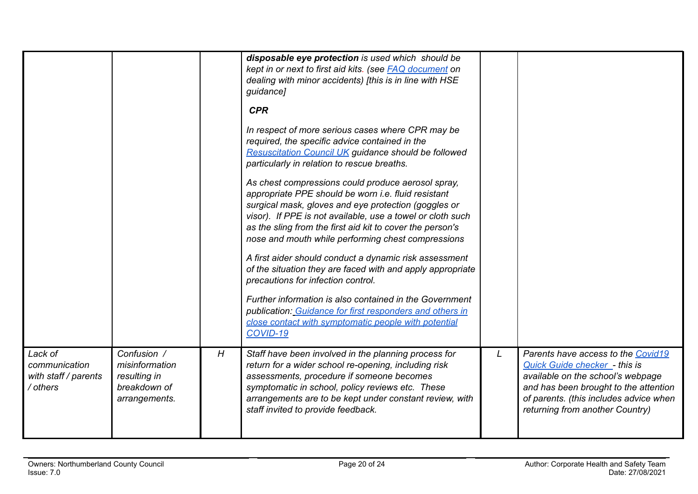|                                                              |                                                                                |   | disposable eye protection is used which should be<br>kept in or next to first aid kits. (see <b>FAQ</b> document on<br>dealing with minor accidents) [this is in line with HSE<br>guidance]<br><b>CPR</b><br>In respect of more serious cases where CPR may be<br>required, the specific advice contained in the<br><b>Resuscitation Council UK guidance should be followed</b><br>particularly in relation to rescue breaths.<br>As chest compressions could produce aerosol spray,<br>appropriate PPE should be worn i.e. fluid resistant<br>surgical mask, gloves and eye protection (goggles or<br>visor). If PPE is not available, use a towel or cloth such<br>as the sling from the first aid kit to cover the person's<br>nose and mouth while performing chest compressions<br>A first aider should conduct a dynamic risk assessment<br>of the situation they are faced with and apply appropriate<br>precautions for infection control.<br>Further information is also contained in the Government<br>publication: Guidance for first responders and others in<br>close contact with symptomatic people with potential<br>COVID-19 |   |                                                                                                                                                                                                                                |
|--------------------------------------------------------------|--------------------------------------------------------------------------------|---|-----------------------------------------------------------------------------------------------------------------------------------------------------------------------------------------------------------------------------------------------------------------------------------------------------------------------------------------------------------------------------------------------------------------------------------------------------------------------------------------------------------------------------------------------------------------------------------------------------------------------------------------------------------------------------------------------------------------------------------------------------------------------------------------------------------------------------------------------------------------------------------------------------------------------------------------------------------------------------------------------------------------------------------------------------------------------------------------------------------------------------------------------|---|--------------------------------------------------------------------------------------------------------------------------------------------------------------------------------------------------------------------------------|
| Lack of<br>communication<br>with staff / parents<br>/ others | Confusion /<br>misinformation<br>resulting in<br>breakdown of<br>arrangements. | H | Staff have been involved in the planning process for<br>return for a wider school re-opening, including risk<br>assessments, procedure if someone becomes<br>symptomatic in school, policy reviews etc. These<br>arrangements are to be kept under constant review, with<br>staff invited to provide feedback.                                                                                                                                                                                                                                                                                                                                                                                                                                                                                                                                                                                                                                                                                                                                                                                                                                | L | Parents have access to the Covid19<br>Quick Guide checker - this is<br>available on the school's webpage<br>and has been brought to the attention<br>of parents. (this includes advice when<br>returning from another Country) |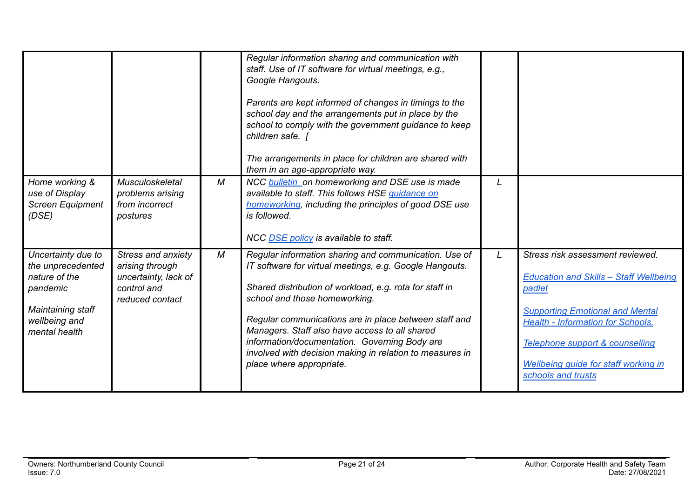|                                                                                                                             |                                                                                                 |                | Regular information sharing and communication with<br>staff. Use of IT software for virtual meetings, e.g.,                                                                                                                                                                                                                                                                                                                                                      |   |                                                                                                                                                                                                                                                                                           |
|-----------------------------------------------------------------------------------------------------------------------------|-------------------------------------------------------------------------------------------------|----------------|------------------------------------------------------------------------------------------------------------------------------------------------------------------------------------------------------------------------------------------------------------------------------------------------------------------------------------------------------------------------------------------------------------------------------------------------------------------|---|-------------------------------------------------------------------------------------------------------------------------------------------------------------------------------------------------------------------------------------------------------------------------------------------|
|                                                                                                                             |                                                                                                 |                | Google Hangouts.<br>Parents are kept informed of changes in timings to the<br>school day and the arrangements put in place by the<br>school to comply with the government guidance to keep<br>children safe. [                                                                                                                                                                                                                                                   |   |                                                                                                                                                                                                                                                                                           |
|                                                                                                                             |                                                                                                 |                | The arrangements in place for children are shared with<br>them in an age-appropriate way.                                                                                                                                                                                                                                                                                                                                                                        |   |                                                                                                                                                                                                                                                                                           |
| Home working &<br>use of Display<br><b>Screen Equipment</b><br>(DSE)                                                        | Musculoskeletal<br>problems arising<br>from incorrect<br>postures                               | $\overline{M}$ | NCC <b>bulletin</b> on homeworking and DSE use is made<br>available to staff. This follows HSE guidance on<br>homeworking, including the principles of good DSE use<br>is followed.<br>NCC DSE policy is available to staff.                                                                                                                                                                                                                                     |   |                                                                                                                                                                                                                                                                                           |
| Uncertainty due to<br>the unprecedented<br>nature of the<br>pandemic<br>Maintaining staff<br>wellbeing and<br>mental health | Stress and anxiety<br>arising through<br>uncertainty, lack of<br>control and<br>reduced contact | $\overline{M}$ | Regular information sharing and communication. Use of<br>IT software for virtual meetings, e.g. Google Hangouts.<br>Shared distribution of workload, e.g. rota for staff in<br>school and those homeworking.<br>Regular communications are in place between staff and<br>Managers. Staff also have access to all shared<br>information/documentation. Governing Body are<br>involved with decision making in relation to measures in<br>place where appropriate. | L | Stress risk assessment reviewed.<br><b>Education and Skills - Staff Wellbeing</b><br>padlet<br><b>Supporting Emotional and Mental</b><br><b>Health - Information for Schools.</b><br>Telephone support & counselling<br><b>Wellbeing quide for staff working in</b><br>schools and trusts |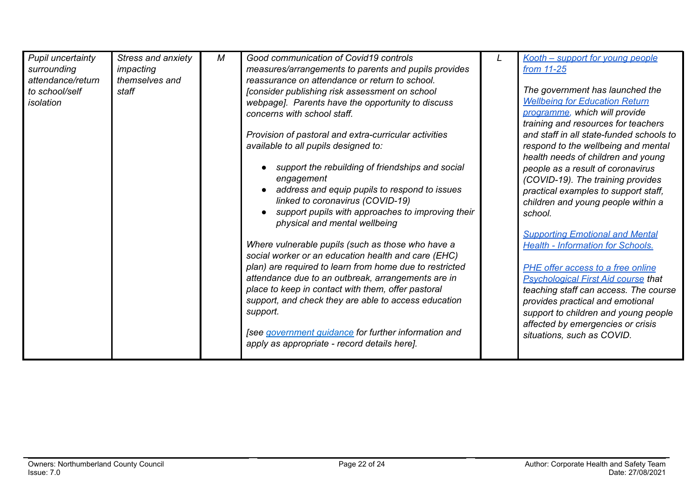| Pupil uncertainty<br>surrounding<br>attendance/return<br>to school/self<br>isolation | Stress and anxiety<br>impacting<br>themselves and<br>staff | М | Good communication of Covid19 controls<br>measures/arrangements to parents and pupils provides<br>reassurance on attendance or return to school.<br>[consider publishing risk assessment on school<br>webpage]. Parents have the opportunity to discuss<br>concerns with school staff.<br>Provision of pastoral and extra-curricular activities<br>available to all pupils designed to:<br>support the rebuilding of friendships and social<br>engagement | Kooth - support for young people<br>from 11-25<br>The government has launched the<br><b>Wellbeing for Education Return</b><br>programme, which will provide<br>training and resources for teachers<br>and staff in all state-funded schools to<br>respond to the wellbeing and mental<br>health needs of children and young<br>people as a result of coronavirus<br>(COVID-19). The training provides |
|--------------------------------------------------------------------------------------|------------------------------------------------------------|---|-----------------------------------------------------------------------------------------------------------------------------------------------------------------------------------------------------------------------------------------------------------------------------------------------------------------------------------------------------------------------------------------------------------------------------------------------------------|-------------------------------------------------------------------------------------------------------------------------------------------------------------------------------------------------------------------------------------------------------------------------------------------------------------------------------------------------------------------------------------------------------|
|                                                                                      |                                                            |   | address and equip pupils to respond to issues                                                                                                                                                                                                                                                                                                                                                                                                             | practical examples to support staff,                                                                                                                                                                                                                                                                                                                                                                  |
|                                                                                      |                                                            |   | linked to coronavirus (COVID-19)<br>support pupils with approaches to improving their<br>physical and mental wellbeing                                                                                                                                                                                                                                                                                                                                    | children and young people within a<br>school.<br><b>Supporting Emotional and Mental</b>                                                                                                                                                                                                                                                                                                               |
|                                                                                      |                                                            |   | Where vulnerable pupils (such as those who have a<br>social worker or an education health and care (EHC)                                                                                                                                                                                                                                                                                                                                                  | <b>Health - Information for Schools.</b>                                                                                                                                                                                                                                                                                                                                                              |
|                                                                                      |                                                            |   | plan) are required to learn from home due to restricted<br>attendance due to an outbreak, arrangements are in<br>place to keep in contact with them, offer pastoral<br>support, and check they are able to access education<br>support.                                                                                                                                                                                                                   | PHE offer access to a free online<br><b>Psychological First Aid course that</b><br>teaching staff can access. The course<br>provides practical and emotional<br>support to children and young people<br>affected by emergencies or crisis                                                                                                                                                             |
|                                                                                      |                                                            |   | [see government guidance for further information and<br>apply as appropriate - record details here].                                                                                                                                                                                                                                                                                                                                                      | situations, such as COVID.                                                                                                                                                                                                                                                                                                                                                                            |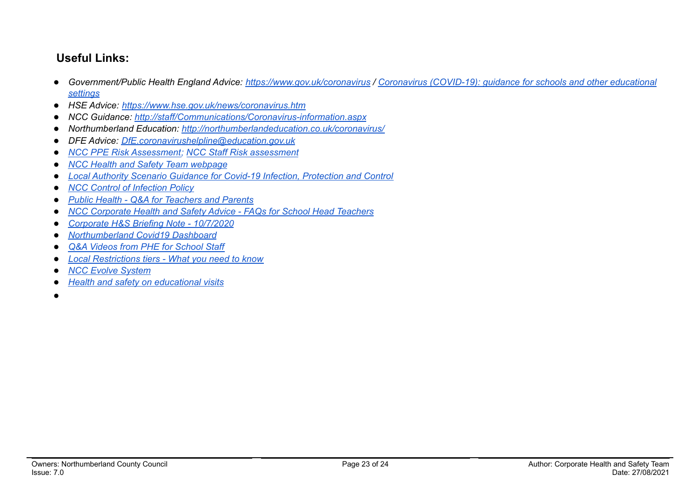## **Useful Links:**

- Government/Public Health England Advice: <https://www.gov.uk/coronavirus> / Coronavirus [\(COVID-19\):](https://www.gov.uk/government/collections/coronavirus-covid-19-guidance-for-schools-and-other-educational-settings) guidance for schools and other educational *[settings](https://www.gov.uk/government/collections/coronavirus-covid-19-guidance-for-schools-and-other-educational-settings)*
- *● HSE Advice: <https://www.hse.gov.uk/news/coronavirus.htm>*
- *● NCC Guidance: <http://staff/Communications/Coronavirus-information.aspx>*
- *● Northumberland Education: <http://northumberlandeducation.co.uk/coronavirus/>*
- *● DFE Advice: [DfE.coronavirushelpline@education.gov.uk](mailto:DfE.coronavirushelpline@education.gov.uk)*
- *● NCC PPE Risk [Assessment;](https://drive.google.com/open?id=1sUlE_jdLkBZdI43kOR6mYCzaiKlTeRzGkODE3qshrr4) NCC Staff Risk [assessment](https://docs.google.com/document/d/1GFWU1_ox_k5SlXHhDfxdwa_gNnBlCM60NNhXjr7Kf40/edit)*
- *● NCC Health and Safety Team [webpage](https://www.northumberland.gov.uk/About/Staff.aspx#staffhealthsafety)*
- *● Local Authority Scenario Guidance for Covid-19 Infection, [Protection](https://docs.google.com/document/d/1v4ujp1l1zuF89TqDOED7T1kucMSPPyLnLQwor2CHq08/edit) and Control*
- *● NCC Control of [Infection](https://www.northumberland.gov.uk/NorthumberlandCountyCouncil/media/About-the-Council/Staff%20Information/Health%20and%20safety/Policy%20Documents%20and%20Guidance/Control-of-Infection-Policy-August-2013-HR-Policy.docx) Policy*
- *● Public Health - Q&A for [Teachers](https://drive.google.com/file/d/17XV-sP7aRNuW59JxoHV6YQzh62rm1wRZ/view?usp=sharing) and Parents*
- *● NCC [Corporate](https://northumberland365.sharepoint.com/:w:/s/StaffPortal/EZ8UvoW88aZCi74_cavsuuIBWlHIpnJFVMVn1mM_pulI3Q) Health and Safety Advice - FAQs for School Head Teachers*
- *● [Corporate](https://docs.google.com/document/d/1qs4cbslP43wLz5MsoDJZ7OCTo_1AyQq76kXIc_KYhls/edit) H&S Briefing Note - 10/7/2020*
- *● [Northumberland](https://public.tableau.com/profile/julian5701#!/vizhome/COVID-19inNorthumberland/Introduction) Covid19 Dashboard*
- *Q&A Videos from PHE for [School](https://northumberlandeducation.co.uk/qa-videos-to-help-school-staff-2/) Staff*
- **●** *Local [Restrictions](https://www.gov.uk/guidance/local-restriction-tiers-what-you-need-to-know) tiers - What you need to know*
- **●** *NCC Evolve [System](https://evolve.edufocus.co.uk/evco10/evchome_public.asp?domain=northumberlandvisits.org.uk)*
- **●** *Health and safety on [educational](https://www.gov.uk/government/publications/health-and-safety-on-educational-visits/health-and-safety-on-educational-visits) visits*
- ●